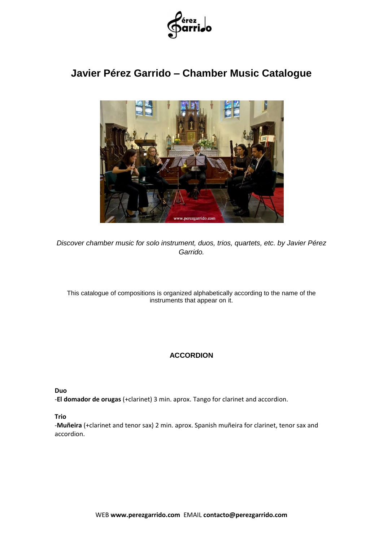

# **Javier Pérez Garrido – Chamber Music Catalogue**



*Discover chamber music for solo instrument, duos, trios, quartets, etc. by Javier Pérez Garrido.*

This catalogue of compositions is organized alphabetically according to the name of the instruments that appear on it.

# **ACCORDION**

**Duo**

-**El domador de orugas** (+clarinet) 3 min. aprox. Tango for clarinet and accordion.

**Trio**

-**Muñeira** (+clarinet and tenor sax) 2 min. aprox. Spanish muñeira for clarinet, tenor sax and accordion.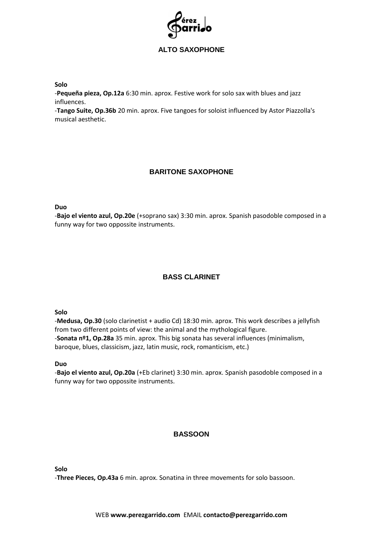

# **ALTO SAXOPHONE**

**Solo**

-**Pequeña pieza, Op.12a** 6:30 min. aprox. Festive work for solo sax with blues and jazz influences.

-**Tango Suite, Op.36b** 20 min. aprox. Five tangoes for soloist influenced by Astor Piazzolla's musical aesthetic.

# **BARITONE SAXOPHONE**

**Duo**

-**Bajo el viento azul, Op.20e** (+soprano sax) 3:30 min. aprox. Spanish pasodoble composed in a funny way for two oppossite instruments.

# **BASS CLARINET**

**Solo**

-**Medusa, Op.30** (solo clarinetist + audio Cd) 18:30 min. aprox. This work describes a jellyfish from two different points of view: the animal and the mythological figure. -**Sonata nº1, Op.28a** 35 min. aprox. This big sonata has several influences (minimalism, baroque, blues, classicism, jazz, latin music, rock, romanticism, etc.)

**Duo**

-**Bajo el viento azul, Op.20a** (+Eb clarinet) 3:30 min. aprox. Spanish pasodoble composed in a funny way for two oppossite instruments.

# **BASSOON**

**Solo**

-**Three Pieces, Op.43a** 6 min. aprox. Sonatina in three movements for solo bassoon.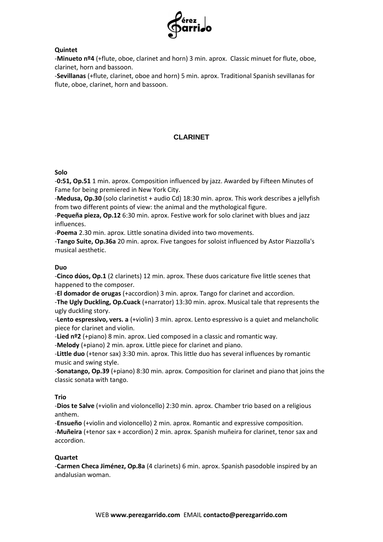

# **Quintet**

-**Minueto nº4** (+flute, oboe, clarinet and horn) 3 min. aprox. Classic minuet for flute, oboe, clarinet, horn and bassoon.

-**Sevillanas** (+flute, clarinet, oboe and horn) 5 min. aprox. Traditional Spanish sevillanas for flute, oboe, clarinet, horn and bassoon.

# **CLARINET**

### **Solo**

-**0:51, Op.51** 1 min. aprox. Composition influenced by jazz. Awarded by Fifteen Minutes of Fame for being premiered in New York City.

-**Medusa, Op.30** (solo clarinetist + audio Cd) 18:30 min. aprox. This work describes a jellyfish from two different points of view: the animal and the mythological figure.

-**Pequeña pieza, Op.12** 6:30 min. aprox. Festive work for solo clarinet with blues and jazz influences.

-**Poema** 2.30 min. aprox. Little sonatina divided into two movements.

-**Tango Suite, Op.36a** 20 min. aprox. Five tangoes for soloist influenced by Astor Piazzolla's musical aesthetic.

### **Duo**

-**Cinco dúos, Op.1** (2 clarinets) 12 min. aprox. These duos caricature five little scenes that happened to the composer.

-**El domador de orugas** (+accordion) 3 min. aprox. Tango for clarinet and accordion.

-**The Ugly Duckling, Op.Cuack** (+narrator) 13:30 min. aprox. Musical tale that represents the ugly duckling story.

-**Lento espressivo, vers. a** (+violin) 3 min. aprox. Lento espressivo is a quiet and melancholic piece for clarinet and violin.

-**Lied nº2** (+piano) 8 min. aprox. Lied composed in a classic and romantic way.

-**Melody** (+piano) 2 min. aprox. Little piece for clarinet and piano.

-**Little duo** (+tenor sax) 3:30 min. aprox. This little duo has several influences by romantic music and swing style.

-**Sonatango, Op.39** (+piano) 8:30 min. aprox. Composition for clarinet and piano that joins the classic sonata with tango.

# **Trio**

-**Dios te Salve** (+violin and violoncello) 2:30 min. aprox. Chamber trio based on a religious anthem.

-**Ensueño** (+violin and violoncello) 2 min. aprox. Romantic and expressive composition.

-**Muñeira** (+tenor sax + accordion) 2 min. aprox. Spanish muñeira for clarinet, tenor sax and accordion.

#### **Quartet**

-**Carmen Checa Jiménez, Op.8a** (4 clarinets) 6 min. aprox. Spanish pasodoble inspired by an andalusian woman.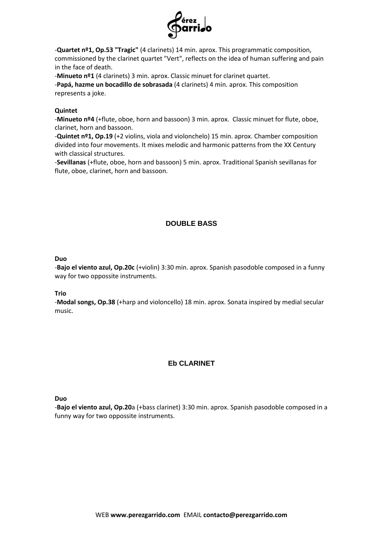

-**Quartet nº1, Op.53 "Tragic"** (4 clarinets) 14 min. aprox. This programmatic composition, commissioned by the clarinet quartet "Vert", reflects on the idea of human suffering and pain in the face of death.

-**Minueto nº1** (4 clarinets) 3 min. aprox. Classic minuet for clarinet quartet.

-**Papá, hazme un bocadillo de sobrasada** (4 clarinets) 4 min. aprox. This composition represents a joke.

### **Quintet**

-**Minueto nº4** (+flute, oboe, horn and bassoon) 3 min. aprox. Classic minuet for flute, oboe, clarinet, horn and bassoon.

-**Quintet nº1, Op.19** (+2 violins, viola and violonchelo) 15 min. aprox. Chamber composition divided into four movements. It mixes melodic and harmonic patterns from the XX Century with classical structures.

-**Sevillanas** (+flute, oboe, horn and bassoon) 5 min. aprox. Traditional Spanish sevillanas for flute, oboe, clarinet, horn and bassoon.

# **DOUBLE BASS**

#### **Duo**

-**Bajo el viento azul, Op.20c** (+violin) 3:30 min. aprox. Spanish pasodoble composed in a funny way for two oppossite instruments.

#### **Trio**

-**Modal songs, Op.38** (+harp and violoncello) 18 min. aprox. Sonata inspired by medial secular music.

# **Eb CLARINET**

**Duo**

-**Bajo el viento azul, Op.20**a (+bass clarinet) 3:30 min. aprox. Spanish pasodoble composed in a funny way for two oppossite instruments.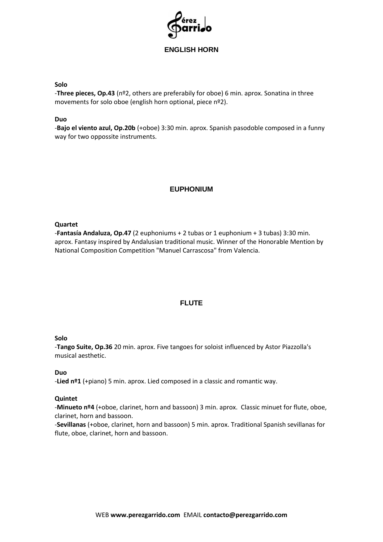

# **ENGLISH HORN**

#### **Solo**

-**Three pieces, Op.43** (nº2, others are preferabily for oboe) 6 min. aprox. Sonatina in three movements for solo oboe (english horn optional, piece nº2).

#### **Duo**

-**Bajo el viento azul, Op.20b** (+oboe) 3:30 min. aprox. Spanish pasodoble composed in a funny way for two oppossite instruments.

# **EUPHONIUM**

#### **Quartet**

-**Fantasía Andaluza, Op.47** (2 euphoniums + 2 tubas or 1 euphonium + 3 tubas) 3:30 min. aprox. Fantasy inspired by Andalusian traditional music. Winner of the Honorable Mention by National Composition Competition "Manuel Carrascosa" from Valencia.

# **FLUTE**

#### **Solo**

-**Tango Suite, Op.36** 20 min. aprox. Five tangoes for soloist influenced by Astor Piazzolla's musical aesthetic.

#### **Duo**

-**Lied nº1** (+piano) 5 min. aprox. Lied composed in a classic and romantic way.

#### **Quintet**

-**Minueto nº4** (+oboe, clarinet, horn and bassoon) 3 min. aprox. Classic minuet for flute, oboe, clarinet, horn and bassoon.

-**Sevillanas** (+oboe, clarinet, horn and bassoon) 5 min. aprox. Traditional Spanish sevillanas for flute, oboe, clarinet, horn and bassoon.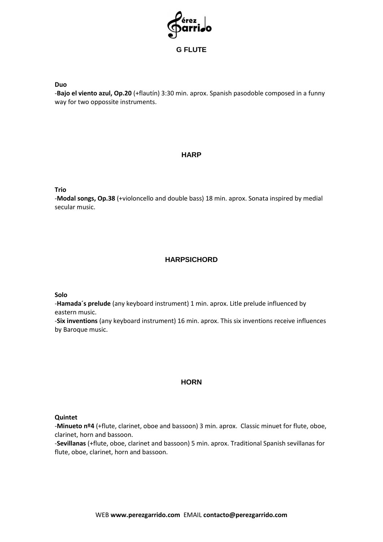

-**Bajo el viento azul, Op.20** (+flautín) 3:30 min. aprox. Spanish pasodoble composed in a funny way for two oppossite instruments.

# **HARP**

**Trio**

-**Modal songs, Op.38** (+violoncello and double bass) 18 min. aprox. Sonata inspired by medial secular music.

# **HARPSICHORD**

**Solo**

-**Hamada´s prelude** (any keyboard instrument) 1 min. aprox. Litle prelude influenced by eastern music.

-**Six inventions** (any keyboard instrument) 16 min. aprox. This six inventions receive influences by Baroque music.

#### **HORN**

#### **Quintet**

-**Minueto nº4** (+flute, clarinet, oboe and bassoon) 3 min. aprox. Classic minuet for flute, oboe, clarinet, horn and bassoon.

-**Sevillanas** (+flute, oboe, clarinet and bassoon) 5 min. aprox. Traditional Spanish sevillanas for flute, oboe, clarinet, horn and bassoon.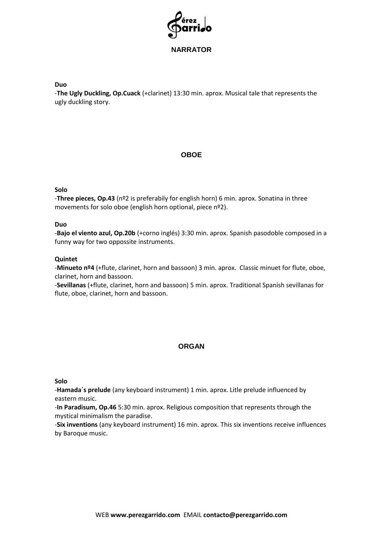

-**The Ugly Duckling, Op.Cuack** (+clarinet) 13:30 min. aprox. Musical tale that represents the ugly duckling story.

# **OBOE**

#### **Solo**

-**Three pieces, Op.43** (nº2 is preferabily for english horn) 6 min. aprox. Sonatina in three movements for solo oboe (english horn optional, piece nº2).

#### **Duo**

-**Bajo el viento azul, Op.20b** (+corno inglés) 3:30 min. aprox. Spanish pasodoble composed in a funny way for two oppossite instruments.

#### **Quintet**

-**Minueto nº4** (+flute, clarinet, horn and bassoon) 3 min. aprox. Classic minuet for flute, oboe, clarinet, horn and bassoon.

-**Sevillanas** (+flute, clarinet, horn and bassoon) 5 min. aprox. Traditional Spanish sevillanas for flute, oboe, clarinet, horn and bassoon.

#### **ORGAN**

**Solo**

-**Hamada´s prelude** (any keyboard instrument) 1 min. aprox. Litle prelude influenced by eastern music.

-**In Paradisum, Op.46** 5:30 min. aprox. Religious composition that represents through the mystical minimalism the paradise.

-**Six inventions** (any keyboard instrument) 16 min. aprox. This six inventions receive influences by Baroque music.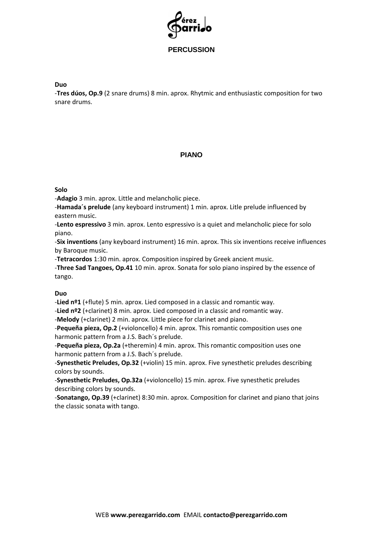

-**Tres dúos, Op.9** (2 snare drums) 8 min. aprox. Rhytmic and enthusiastic composition for two snare drums.

# **PIANO**

#### **Solo**

-**Adagio** 3 min. aprox. Little and melancholic piece.

-**Hamada´s prelude** (any keyboard instrument) 1 min. aprox. Litle prelude influenced by eastern music.

-**Lento espressivo** 3 min. aprox. Lento espressivo is a quiet and melancholic piece for solo piano.

-**Six inventions** (any keyboard instrument) 16 min. aprox. This six inventions receive influences by Baroque music.

-**Tetracordos** 1:30 min. aprox. Composition inspired by Greek ancient music.

-**Three Sad Tangoes, Op.41** 10 min. aprox. Sonata for solo piano inspired by the essence of tango.

#### **Duo**

-**Lied nº1** (+flute) 5 min. aprox. Lied composed in a classic and romantic way.

-**Lied nº2** (+clarinet) 8 min. aprox. Lied composed in a classic and romantic way.

-**Melody** (+clarinet) 2 min. aprox. Little piece for clarinet and piano.

-**Pequeña pieza, Op.2** (+violoncello) 4 min. aprox. This romantic composition uses one harmonic pattern from a J.S. Bach´s prelude.

-**Pequeña pieza, Op.2a** (+theremin) 4 min. aprox. This romantic composition uses one harmonic pattern from a J.S. Bach´s prelude.

-**Synesthetic Preludes, Op.32** (+violin) 15 min. aprox. Five synesthetic preludes describing colors by sounds.

-**Synesthetic Preludes, Op.32a** (+violoncello) 15 min. aprox. Five synesthetic preludes describing colors by sounds.

-**Sonatango, Op.39** (+clarinet) 8:30 min. aprox. Composition for clarinet and piano that joins the classic sonata with tango.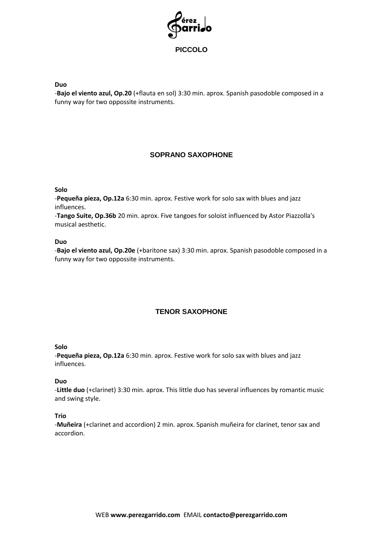

-**Bajo el viento azul, Op.20** (+flauta en sol) 3:30 min. aprox. Spanish pasodoble composed in a funny way for two oppossite instruments.

# **SOPRANO SAXOPHONE**

#### **Solo**

-**Pequeña pieza, Op.12a** 6:30 min. aprox. Festive work for solo sax with blues and jazz influences.

-**Tango Suite, Op.36b** 20 min. aprox. Five tangoes for soloist influenced by Astor Piazzolla's musical aesthetic.

#### **Duo**

-**Bajo el viento azul, Op.20e** (+baritone sax) 3:30 min. aprox. Spanish pasodoble composed in a funny way for two oppossite instruments.

# **TENOR SAXOPHONE**

#### **Solo**

-**Pequeña pieza, Op.12a** 6:30 min. aprox. Festive work for solo sax with blues and jazz influences.

#### **Duo**

-**Little duo** (+clarinet) 3:30 min. aprox. This little duo has several influences by romantic music and swing style.

#### **Trio**

-**Muñeira** (+clarinet and accordion) 2 min. aprox. Spanish muñeira for clarinet, tenor sax and accordion.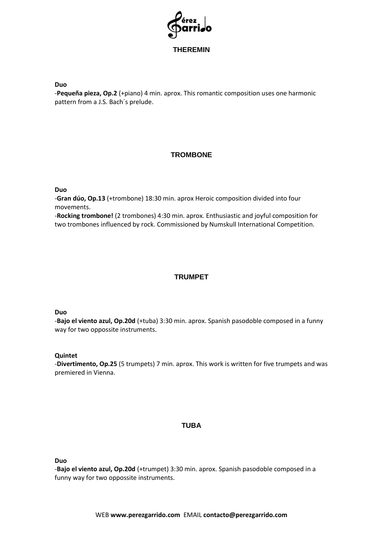

-**Pequeña pieza, Op.2** (+piano) 4 min. aprox. This romantic composition uses one harmonic pattern from a J.S. Bach´s prelude.

# **TROMBONE**

#### **Duo**

-**Gran dúo, Op.13** (+trombone) 18:30 min. aprox Heroic composition divided into four movements.

-**Rocking trombone!** (2 trombones) 4:30 min. aprox. Enthusiastic and joyful composition for two trombones influenced by rock. Commissioned by Numskull International Competition.

# **TRUMPET**

#### **Duo**

-**Bajo el viento azul, Op.20d** (+tuba) 3:30 min. aprox. Spanish pasodoble composed in a funny way for two oppossite instruments.

#### **Quintet**

-**Divertimento, Op.25** (5 trumpets) 7 min. aprox. This work is written for five trumpets and was premiered in Vienna.

#### **TUBA**

**Duo**

-**Bajo el viento azul, Op.20d** (+trumpet) 3:30 min. aprox. Spanish pasodoble composed in a funny way for two oppossite instruments.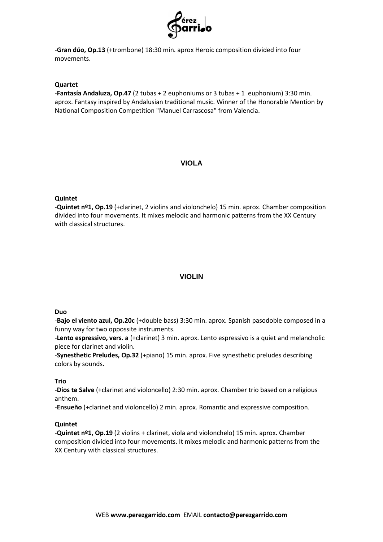

-**Gran dúo, Op.13** (+trombone) 18:30 min. aprox Heroic composition divided into four movements.

#### **Quartet**

-**Fantasía Andaluza, Op.47** (2 tubas + 2 euphoniums or 3 tubas + 1 euphonium) 3:30 min. aprox. Fantasy inspired by Andalusian traditional music. Winner of the Honorable Mention by National Composition Competition "Manuel Carrascosa" from Valencia.

### **VIOLA**

#### **Quintet**

-**Quintet nº1, Op.19** (+clarinet, 2 violins and violonchelo) 15 min. aprox. Chamber composition divided into four movements. It mixes melodic and harmonic patterns from the XX Century with classical structures.

# **VIOLIN**

#### **Duo**

-**Bajo el viento azul, Op.20c** (+double bass) 3:30 min. aprox. Spanish pasodoble composed in a funny way for two oppossite instruments.

-**Lento espressivo, vers. a** (+clarinet) 3 min. aprox. Lento espressivo is a quiet and melancholic piece for clarinet and violin.

-**Synesthetic Preludes, Op.32** (+piano) 15 min. aprox. Five synesthetic preludes describing colors by sounds.

#### **Trio**

-**Dios te Salve** (+clarinet and violoncello) 2:30 min. aprox. Chamber trio based on a religious anthem.

-**Ensueño** (+clarinet and violoncello) 2 min. aprox. Romantic and expressive composition.

#### **Quintet**

-**Quintet nº1, Op.19** (2 violins + clarinet, viola and violonchelo) 15 min. aprox. Chamber composition divided into four movements. It mixes melodic and harmonic patterns from the XX Century with classical structures.